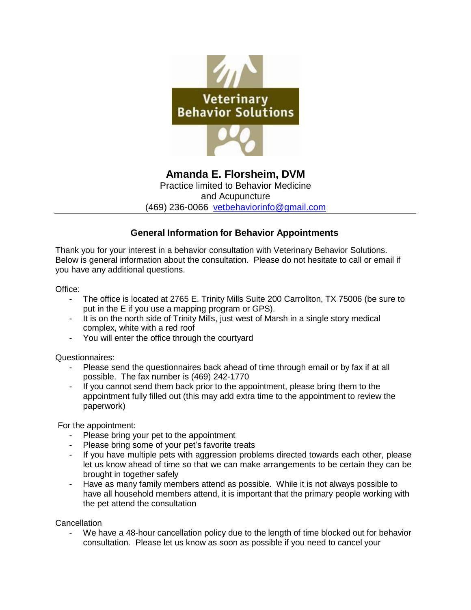

**Amanda E. Florsheim, DVM**  Practice limited to Behavior Medicine

and Acupuncture

(469) 236-0066 [vetbehaviorinfo@gmail.com](mailto:vetbehaviorinfo@gmail.com)

## **General Information for Behavior Appointments**

Thank you for your interest in a behavior consultation with Veterinary Behavior Solutions. Below is general information about the consultation. Please do not hesitate to call or email if you have any additional questions.

Office:

- The office is located at 2765 E. Trinity Mills Suite 200 Carrollton, TX 75006 (be sure to put in the E if you use a mapping program or GPS).
- It is on the north side of Trinity Mills, just west of Marsh in a single story medical complex, white with a red roof
- You will enter the office through the courtyard

Questionnaires:

- Please send the questionnaires back ahead of time through email or by fax if at all possible. The fax number is (469) 242-1770
- If you cannot send them back prior to the appointment, please bring them to the appointment fully filled out (this may add extra time to the appointment to review the paperwork)

For the appointment:

- Please bring your pet to the appointment
- Please bring some of your pet's favorite treats
- If you have multiple pets with aggression problems directed towards each other, please let us know ahead of time so that we can make arrangements to be certain they can be brought in together safely
- Have as many family members attend as possible. While it is not always possible to have all household members attend, it is important that the primary people working with the pet attend the consultation

**Cancellation** 

We have a 48-hour cancellation policy due to the length of time blocked out for behavior consultation. Please let us know as soon as possible if you need to cancel your